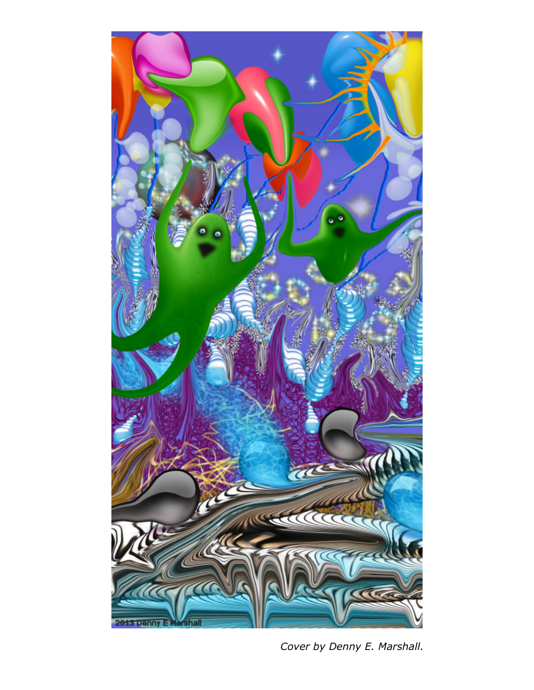

*Cover by Denny E. Marshall.*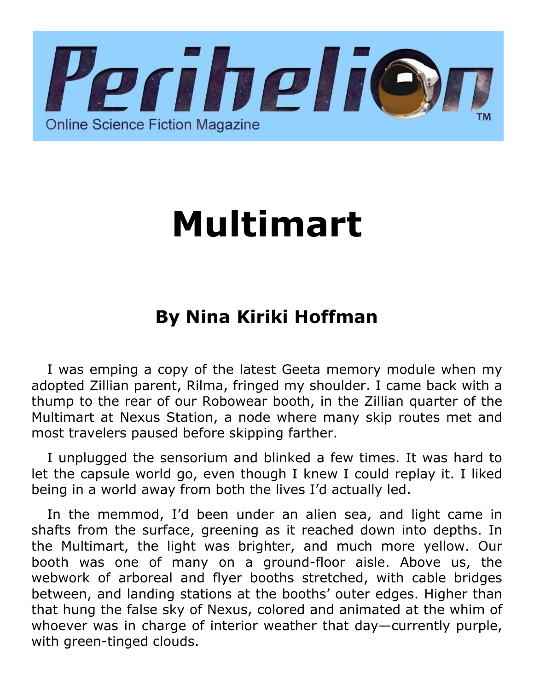

## **Multimart**

## **By Nina Kiriki Hoffman**

I was emping a copy of the latest Geeta memory module when my adopted Zillian parent, Rilma, fringed my shoulder. I came back with a thump to the rear of our Robowear booth, in the Zillian quarter of the Multimart at Nexus Station, a node where many skip routes met and most travelers paused before skipping farther.

I unplugged the sensorium and blinked a few times. It was hard to let the capsule world go, even though I knew I could replay it. I liked being in a world away from both the lives I'd actually led.

In the memmod, I'd been under an alien sea, and light came in shafts from the surface, greening as it reached down into depths. In the Multimart, the light was brighter, and much more yellow. Our booth was one of many on a ground-floor aisle. Above us, the webwork of arboreal and flyer booths stretched, with cable bridges between, and landing stations at the booths' outer edges. Higher than that hung the false sky of Nexus, colored and animated at the whim of whoever was in charge of interior weather that day—currently purple, with green-tinged clouds.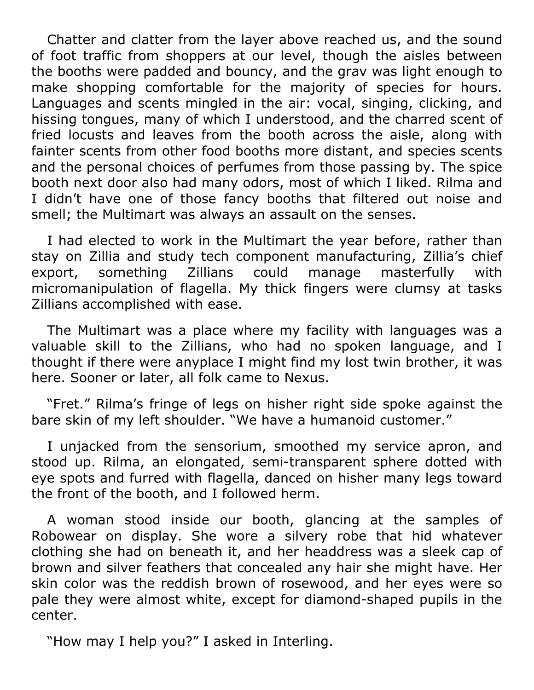Chatter and clatter from the layer above reached us, and the sound of foot traffic from shoppers at our level, though the aisles between the booths were padded and bouncy, and the grav was light enough to make shopping comfortable for the majority of species for hours. Languages and scents mingled in the air: vocal, singing, clicking, and hissing tongues, many of which I understood, and the charred scent of fried locusts and leaves from the booth across the aisle, along with fainter scents from other food booths more distant, and species scents and the personal choices of perfumes from those passing by. The spice booth next door also had many odors, most of which I liked. Rilma and I didn't have one of those fancy booths that filtered out noise and smell; the Multimart was always an assault on the senses.

I had elected to work in the Multimart the year before, rather than stay on Zillia and study tech component manufacturing, Zillia's chief export, something Zillians could manage masterfully with micromanipulation of flagella. My thick fingers were clumsy at tasks Zillians accomplished with ease.

The Multimart was a place where my facility with languages was a valuable skill to the Zillians, who had no spoken language, and I thought if there were anyplace I might find my lost twin brother, it was here. Sooner or later, all folk came to Nexus.

"Fret." Rilma's fringe of legs on hisher right side spoke against the bare skin of my left shoulder. "We have a humanoid customer."

I unjacked from the sensorium, smoothed my service apron, and stood up. Rilma, an elongated, semi-transparent sphere dotted with eye spots and furred with flagella, danced on hisher many legs toward the front of the booth, and I followed herm.

A woman stood inside our booth, glancing at the samples of Robowear on display. She wore a silvery robe that hid whatever clothing she had on beneath it, and her headdress was a sleek cap of brown and silver feathers that concealed any hair she might have. Her skin color was the reddish brown of rosewood, and her eyes were so pale they were almost white, except for diamond-shaped pupils in the center.

"How may I help you?" I asked in Interling.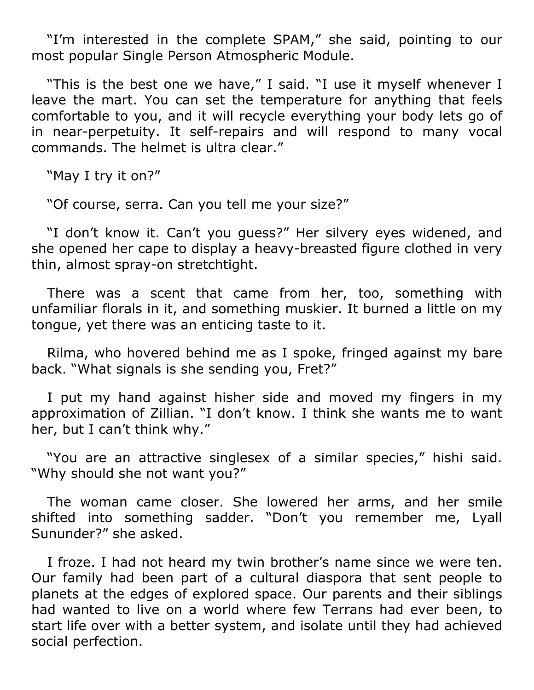"I'm interested in the complete SPAM," she said, pointing to our most popular Single Person Atmospheric Module.

"This is the best one we have," I said. "I use it myself whenever I leave the mart. You can set the temperature for anything that feels comfortable to you, and it will recycle everything your body lets go of in near-perpetuity. It self-repairs and will respond to many vocal commands. The helmet is ultra clear."

"May I try it on?"

"Of course, serra. Can you tell me your size?"

"I don't know it. Can't you guess?" Her silvery eyes widened, and she opened her cape to display a heavy-breasted figure clothed in very thin, almost spray-on stretchtight.

There was a scent that came from her, too, something with unfamiliar florals in it, and something muskier. It burned a little on my tongue, yet there was an enticing taste to it.

Rilma, who hovered behind me as I spoke, fringed against my bare back. "What signals is she sending you, Fret?"

I put my hand against hisher side and moved my fingers in my approximation of Zillian. "I don't know. I think she wants me to want her, but I can't think why."

"You are an attractive singlesex of a similar species," hishi said. "Why should she not want you?"

The woman came closer. She lowered her arms, and her smile shifted into something sadder. "Don't you remember me, Lyall Sununder?" she asked.

I froze. I had not heard my twin brother's name since we were ten. Our family had been part of a cultural diaspora that sent people to planets at the edges of explored space. Our parents and their siblings had wanted to live on a world where few Terrans had ever been, to start life over with a better system, and isolate until they had achieved social perfection.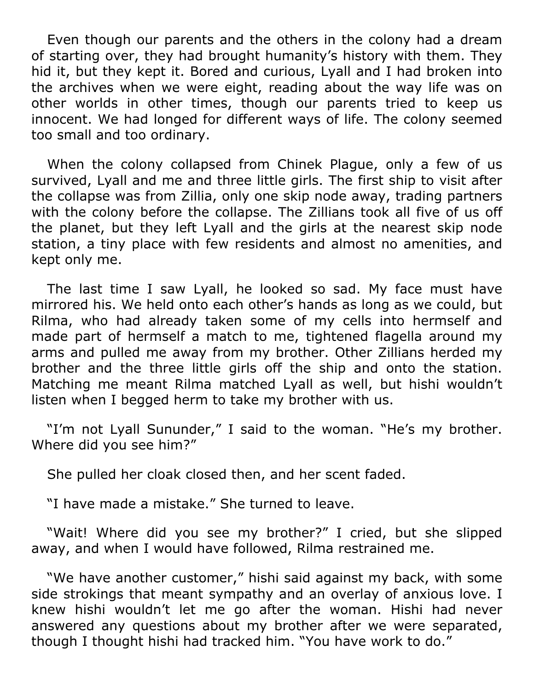Even though our parents and the others in the colony had a dream of starting over, they had brought humanity's history with them. They hid it, but they kept it. Bored and curious, Lyall and I had broken into the archives when we were eight, reading about the way life was on other worlds in other times, though our parents tried to keep us innocent. We had longed for different ways of life. The colony seemed too small and too ordinary.

When the colony collapsed from Chinek Plague, only a few of us survived, Lyall and me and three little girls. The first ship to visit after the collapse was from Zillia, only one skip node away, trading partners with the colony before the collapse. The Zillians took all five of us off the planet, but they left Lyall and the girls at the nearest skip node station, a tiny place with few residents and almost no amenities, and kept only me.

The last time I saw Lyall, he looked so sad. My face must have mirrored his. We held onto each other's hands as long as we could, but Rilma, who had already taken some of my cells into hermself and made part of hermself a match to me, tightened flagella around my arms and pulled me away from my brother. Other Zillians herded my brother and the three little girls off the ship and onto the station. Matching me meant Rilma matched Lyall as well, but hishi wouldn't listen when I begged herm to take my brother with us.

"I'm not Lyall Sununder," I said to the woman. "He's my brother. Where did you see him?"

She pulled her cloak closed then, and her scent faded.

"I have made a mistake." She turned to leave.

"Wait! Where did you see my brother?" I cried, but she slipped away, and when I would have followed, Rilma restrained me.

"We have another customer," hishi said against my back, with some side strokings that meant sympathy and an overlay of anxious love. I knew hishi wouldn't let me go after the woman. Hishi had never answered any questions about my brother after we were separated, though I thought hishi had tracked him. "You have work to do."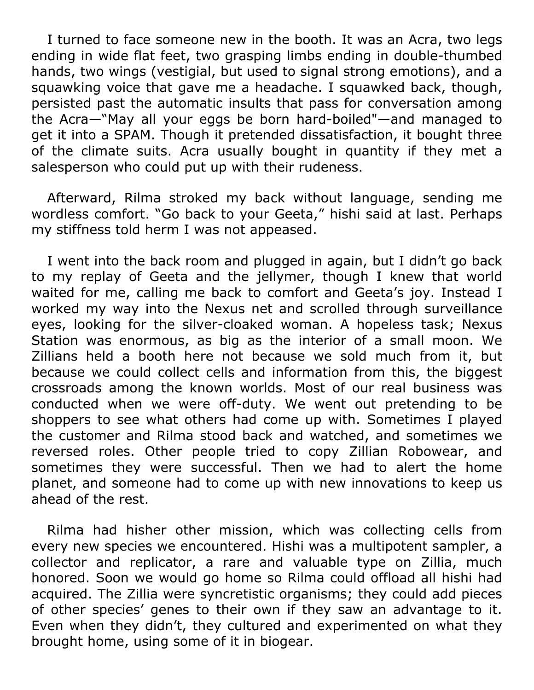I turned to face someone new in the booth. It was an Acra, two legs ending in wide flat feet, two grasping limbs ending in double-thumbed hands, two wings (vestigial, but used to signal strong emotions), and a squawking voice that gave me a headache. I squawked back, though, persisted past the automatic insults that pass for conversation among the Acra—"May all your eggs be born hard-boiled"—and managed to get it into a SPAM. Though it pretended dissatisfaction, it bought three of the climate suits. Acra usually bought in quantity if they met a salesperson who could put up with their rudeness.

Afterward, Rilma stroked my back without language, sending me wordless comfort. "Go back to your Geeta," hishi said at last. Perhaps my stiffness told herm I was not appeased.

I went into the back room and plugged in again, but I didn't go back to my replay of Geeta and the jellymer, though I knew that world waited for me, calling me back to comfort and Geeta's joy. Instead I worked my way into the Nexus net and scrolled through surveillance eyes, looking for the silver-cloaked woman. A hopeless task; Nexus Station was enormous, as big as the interior of a small moon. We Zillians held a booth here not because we sold much from it, but because we could collect cells and information from this, the biggest crossroads among the known worlds. Most of our real business was conducted when we were off-duty. We went out pretending to be shoppers to see what others had come up with. Sometimes I played the customer and Rilma stood back and watched, and sometimes we reversed roles. Other people tried to copy Zillian Robowear, and sometimes they were successful. Then we had to alert the home planet, and someone had to come up with new innovations to keep us ahead of the rest.

Rilma had hisher other mission, which was collecting cells from every new species we encountered. Hishi was a multipotent sampler, a collector and replicator, a rare and valuable type on Zillia, much honored. Soon we would go home so Rilma could offload all hishi had acquired. The Zillia were syncretistic organisms; they could add pieces of other species' genes to their own if they saw an advantage to it. Even when they didn't, they cultured and experimented on what they brought home, using some of it in biogear.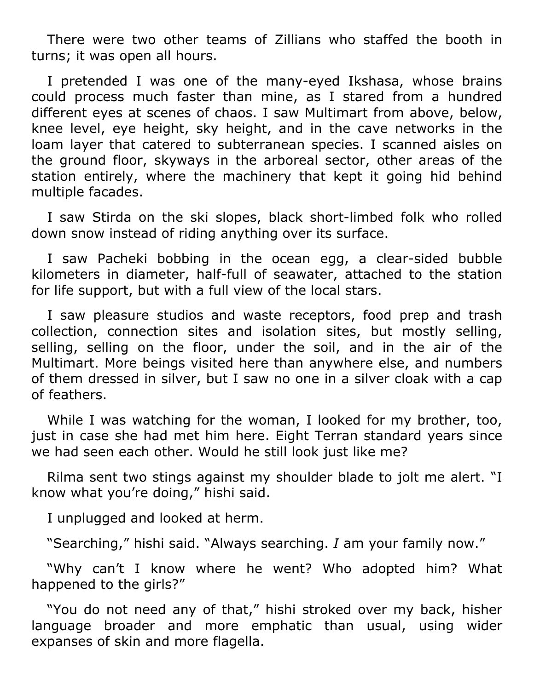There were two other teams of Zillians who staffed the booth in turns; it was open all hours.

I pretended I was one of the many-eyed Ikshasa, whose brains could process much faster than mine, as I stared from a hundred different eyes at scenes of chaos. I saw Multimart from above, below, knee level, eye height, sky height, and in the cave networks in the loam layer that catered to subterranean species. I scanned aisles on the ground floor, skyways in the arboreal sector, other areas of the station entirely, where the machinery that kept it going hid behind multiple facades.

I saw Stirda on the ski slopes, black short-limbed folk who rolled down snow instead of riding anything over its surface.

I saw Pacheki bobbing in the ocean egg, a clear-sided bubble kilometers in diameter, half-full of seawater, attached to the station for life support, but with a full view of the local stars.

I saw pleasure studios and waste receptors, food prep and trash collection, connection sites and isolation sites, but mostly selling, selling, selling on the floor, under the soil, and in the air of the Multimart. More beings visited here than anywhere else, and numbers of them dressed in silver, but I saw no one in a silver cloak with a cap of feathers.

While I was watching for the woman, I looked for my brother, too, just in case she had met him here. Eight Terran standard years since we had seen each other. Would he still look just like me?

Rilma sent two stings against my shoulder blade to jolt me alert. "I know what you're doing," hishi said.

I unplugged and looked at herm.

"Searching," hishi said. "Always searching. *I* am your family now."

"Why can't I know where he went? Who adopted him? What happened to the girls?"

"You do not need any of that," hishi stroked over my back, hisher language broader and more emphatic than usual, using wider expanses of skin and more flagella.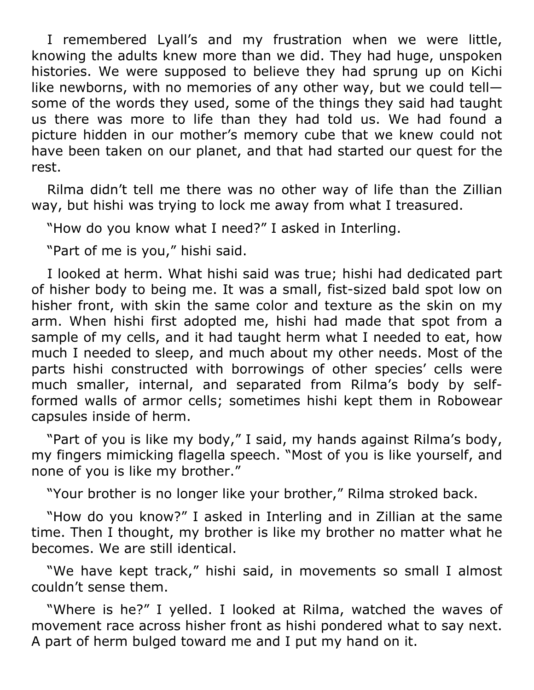I remembered Lyall's and my frustration when we were little, knowing the adults knew more than we did. They had huge, unspoken histories. We were supposed to believe they had sprung up on Kichi like newborns, with no memories of any other way, but we could tell some of the words they used, some of the things they said had taught us there was more to life than they had told us. We had found a picture hidden in our mother's memory cube that we knew could not have been taken on our planet, and that had started our quest for the rest.

Rilma didn't tell me there was no other way of life than the Zillian way, but hishi was trying to lock me away from what I treasured.

"How do you know what I need?" I asked in Interling.

"Part of me is you," hishi said.

I looked at herm. What hishi said was true; hishi had dedicated part of hisher body to being me. It was a small, fist-sized bald spot low on hisher front, with skin the same color and texture as the skin on my arm. When hishi first adopted me, hishi had made that spot from a sample of my cells, and it had taught herm what I needed to eat, how much I needed to sleep, and much about my other needs. Most of the parts hishi constructed with borrowings of other species' cells were much smaller, internal, and separated from Rilma's body by selfformed walls of armor cells; sometimes hishi kept them in Robowear capsules inside of herm.

"Part of you is like my body," I said, my hands against Rilma's body, my fingers mimicking flagella speech. "Most of you is like yourself, and none of you is like my brother."

"Your brother is no longer like your brother," Rilma stroked back.

"How do you know?" I asked in Interling and in Zillian at the same time. Then I thought, my brother is like my brother no matter what he becomes. We are still identical.

"We have kept track," hishi said, in movements so small I almost couldn't sense them.

"Where is he?" I yelled. I looked at Rilma, watched the waves of movement race across hisher front as hishi pondered what to say next. A part of herm bulged toward me and I put my hand on it.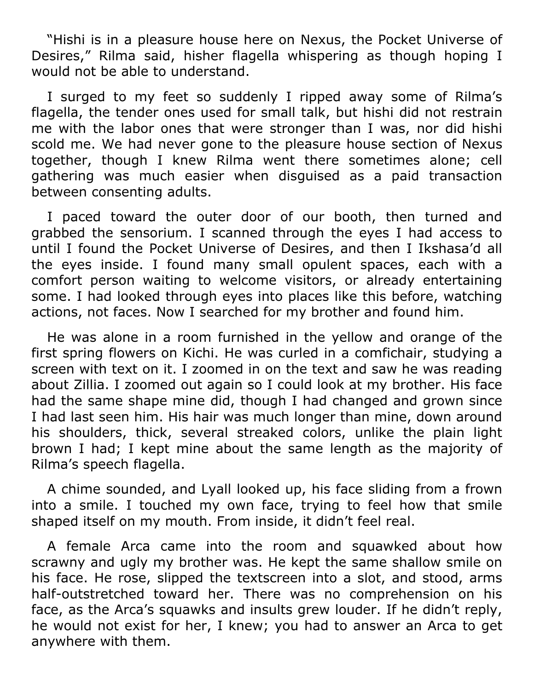"Hishi is in a pleasure house here on Nexus, the Pocket Universe of Desires," Rilma said, hisher flagella whispering as though hoping I would not be able to understand.

I surged to my feet so suddenly I ripped away some of Rilma's flagella, the tender ones used for small talk, but hishi did not restrain me with the labor ones that were stronger than I was, nor did hishi scold me. We had never gone to the pleasure house section of Nexus together, though I knew Rilma went there sometimes alone; cell gathering was much easier when disguised as a paid transaction between consenting adults.

I paced toward the outer door of our booth, then turned and grabbed the sensorium. I scanned through the eyes I had access to until I found the Pocket Universe of Desires, and then I Ikshasa'd all the eyes inside. I found many small opulent spaces, each with a comfort person waiting to welcome visitors, or already entertaining some. I had looked through eyes into places like this before, watching actions, not faces. Now I searched for my brother and found him.

He was alone in a room furnished in the yellow and orange of the first spring flowers on Kichi. He was curled in a comfichair, studying a screen with text on it. I zoomed in on the text and saw he was reading about Zillia. I zoomed out again so I could look at my brother. His face had the same shape mine did, though I had changed and grown since I had last seen him. His hair was much longer than mine, down around his shoulders, thick, several streaked colors, unlike the plain light brown I had; I kept mine about the same length as the majority of Rilma's speech flagella.

A chime sounded, and Lyall looked up, his face sliding from a frown into a smile. I touched my own face, trying to feel how that smile shaped itself on my mouth. From inside, it didn't feel real.

A female Arca came into the room and squawked about how scrawny and ugly my brother was. He kept the same shallow smile on his face. He rose, slipped the textscreen into a slot, and stood, arms half-outstretched toward her. There was no comprehension on his face, as the Arca's squawks and insults grew louder. If he didn't reply, he would not exist for her, I knew; you had to answer an Arca to get anywhere with them.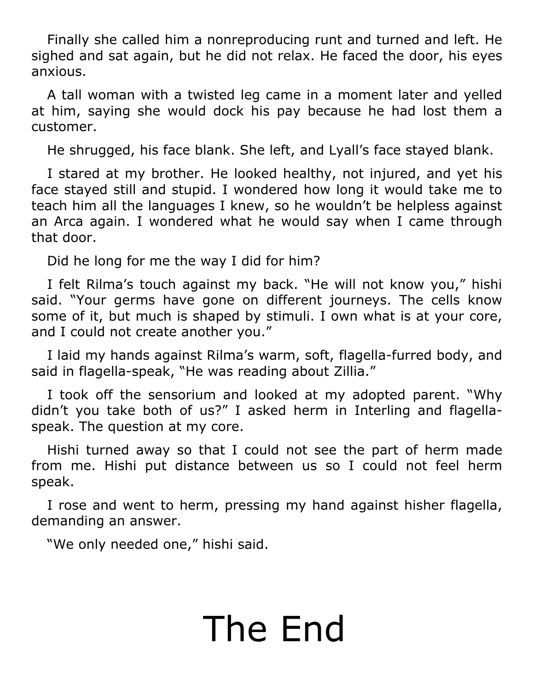Finally she called him a nonreproducing runt and turned and left. He sighed and sat again, but he did not relax. He faced the door, his eyes anxious.

A tall woman with a twisted leg came in a moment later and yelled at him, saying she would dock his pay because he had lost them a customer.

He shrugged, his face blank. She left, and Lyall's face stayed blank.

I stared at my brother. He looked healthy, not injured, and yet his face stayed still and stupid. I wondered how long it would take me to teach him all the languages I knew, so he wouldn't be helpless against an Arca again. I wondered what he would say when I came through that door.

Did he long for me the way I did for him?

I felt Rilma's touch against my back. "He will not know you," hishi said. "Your germs have gone on different journeys. The cells know some of it, but much is shaped by stimuli. I own what is at your core, and I could not create another you."

I laid my hands against Rilma's warm, soft, flagella-furred body, and said in flagella-speak, "He was reading about Zillia."

I took off the sensorium and looked at my adopted parent. "Why didn't you take both of us?" I asked herm in Interling and flagellaspeak. The question at my core.

Hishi turned away so that I could not see the part of herm made from me. Hishi put distance between us so I could not feel herm speak.

I rose and went to herm, pressing my hand against hisher flagella, demanding an answer.

"We only needed one," hishi said.

## The End